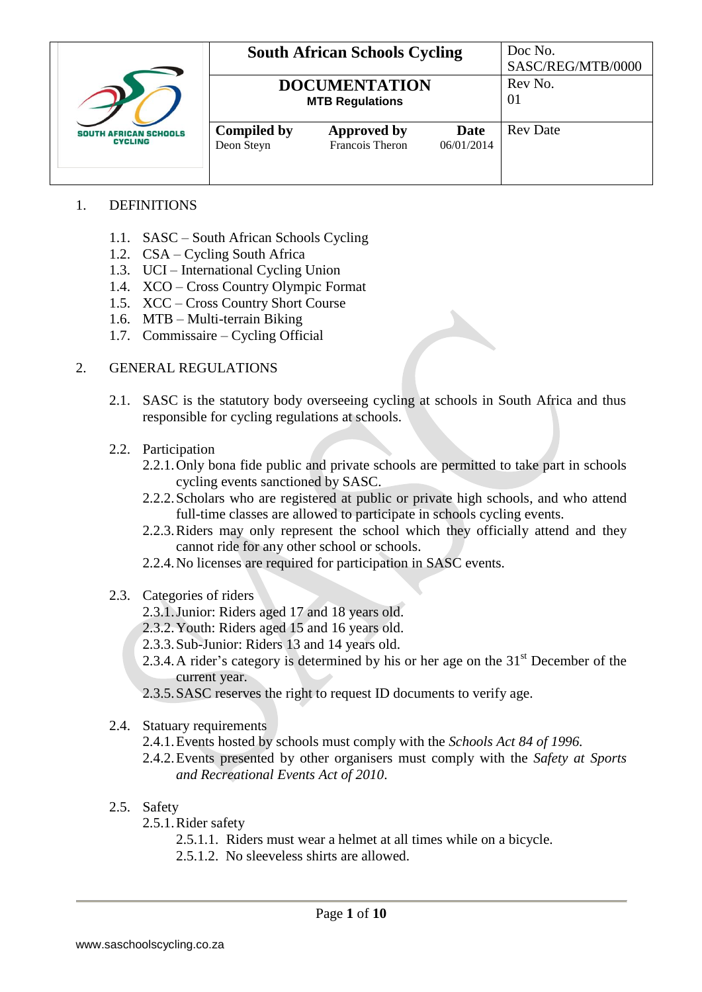|                                                |                                  | <b>South African Schools Cycling</b>           |                    | Doc No.<br>SASC/REG/MTB/0000 |
|------------------------------------------------|----------------------------------|------------------------------------------------|--------------------|------------------------------|
|                                                |                                  | <b>DOCUMENTATION</b><br><b>MTB Regulations</b> |                    | Rev No.<br>01                |
| <b>SOUTH AFRICAN SCHOOLS</b><br><b>CYCLING</b> | <b>Compiled by</b><br>Deon Steyn | <b>Approved by</b><br>Francois Theron          | Date<br>06/01/2014 | <b>Rev Date</b>              |

# 1. DEFINITIONS

- 1.1. SASC South African Schools Cycling
- 1.2. CSA Cycling South Africa
- 1.3. UCI International Cycling Union
- 1.4. XCO Cross Country Olympic Format
- 1.5. XCC Cross Country Short Course
- 1.6. MTB Multi-terrain Biking
- 1.7. Commissaire Cycling Official

#### 2. GENERAL REGULATIONS

- 2.1. SASC is the statutory body overseeing cycling at schools in South Africa and thus responsible for cycling regulations at schools.
- 2.2. Participation
	- 2.2.1.Only bona fide public and private schools are permitted to take part in schools cycling events sanctioned by SASC.
	- 2.2.2.Scholars who are registered at public or private high schools, and who attend full-time classes are allowed to participate in schools cycling events.
	- 2.2.3.Riders may only represent the school which they officially attend and they cannot ride for any other school or schools.
	- 2.2.4.No licenses are required for participation in SASC events.
- 2.3. Categories of riders
	- 2.3.1.Junior: Riders aged 17 and 18 years old.
	- 2.3.2.Youth: Riders aged 15 and 16 years old.
	- 2.3.3.Sub-Junior: Riders 13 and 14 years old.
	- 2.3.4. A rider's category is determined by his or her age on the  $31<sup>st</sup>$  December of the current year.
	- 2.3.5.SASC reserves the right to request ID documents to verify age.
- 2.4. Statuary requirements
	- 2.4.1.Events hosted by schools must comply with the *Schools Act 84 of 1996.*
	- 2.4.2.Events presented by other organisers must comply with the *Safety at Sports and Recreational Events Act of 2010*.
- 2.5. Safety
	- 2.5.1.Rider safety
		- 2.5.1.1. Riders must wear a helmet at all times while on a bicycle.
		- 2.5.1.2. No sleeveless shirts are allowed.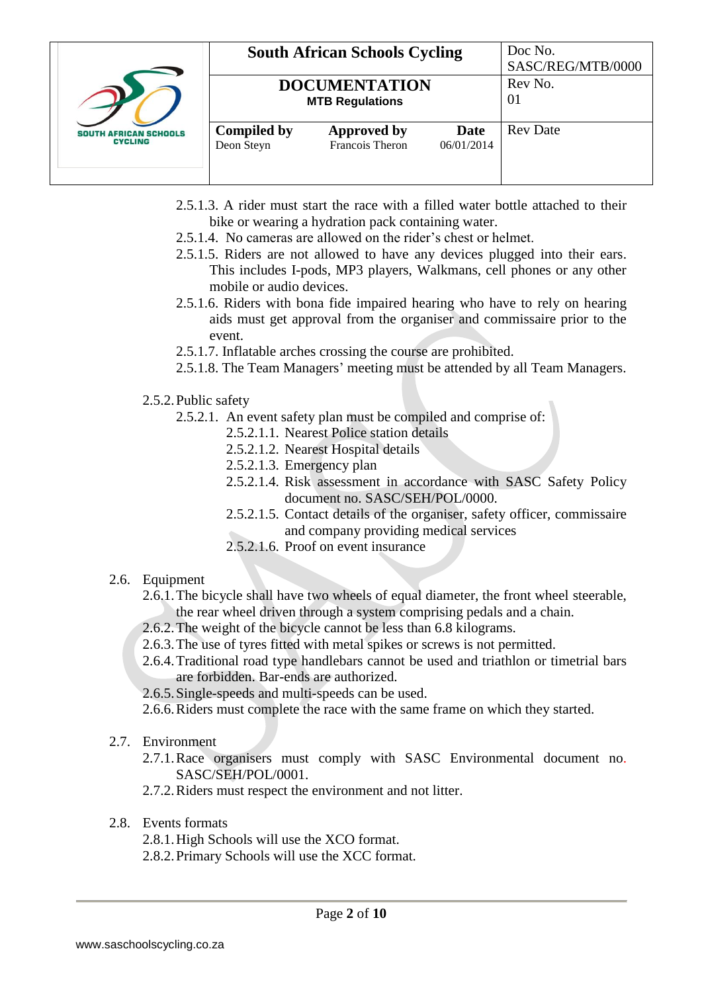|                                                |                                  | <b>South African Schools Cycling</b>           |                    | Doc No.<br>SASC/REG/MTB/0000 |
|------------------------------------------------|----------------------------------|------------------------------------------------|--------------------|------------------------------|
|                                                |                                  | <b>DOCUMENTATION</b><br><b>MTB Regulations</b> |                    | Rev No.<br>01                |
| <b>SOUTH AFRICAN SCHOOLS</b><br><b>CYCLING</b> | <b>Compiled by</b><br>Deon Steyn | <b>Approved by</b><br>Francois Theron          | Date<br>06/01/2014 | <b>Rev</b> Date              |

- 2.5.1.3. A rider must start the race with a filled water bottle attached to their bike or wearing a hydration pack containing water.
- 2.5.1.4. No cameras are allowed on the rider's chest or helmet.
- 2.5.1.5. Riders are not allowed to have any devices plugged into their ears. This includes I-pods, MP3 players, Walkmans, cell phones or any other mobile or audio devices.
- 2.5.1.6. Riders with bona fide impaired hearing who have to rely on hearing aids must get approval from the organiser and commissaire prior to the event.
- 2.5.1.7. Inflatable arches crossing the course are prohibited.
- 2.5.1.8. The Team Managers' meeting must be attended by all Team Managers.

### 2.5.2.Public safety

- 2.5.2.1. An event safety plan must be compiled and comprise of:
	- 2.5.2.1.1. Nearest Police station details
	- 2.5.2.1.2. Nearest Hospital details
	- 2.5.2.1.3. Emergency plan
	- 2.5.2.1.4. Risk assessment in accordance with SASC Safety Policy document no. SASC/SEH/POL/0000.
	- 2.5.2.1.5. Contact details of the organiser, safety officer, commissaire and company providing medical services
	- 2.5.2.1.6. Proof on event insurance

# 2.6. Equipment

- 2.6.1.The bicycle shall have two wheels of equal diameter, the front wheel steerable, the rear wheel driven through a system comprising pedals and a chain.
- 2.6.2.The weight of the bicycle cannot be less than 6.8 kilograms.
- 2.6.3.The use of tyres fitted with metal spikes or screws is not permitted.
- 2.6.4.Traditional road type handlebars cannot be used and triathlon or timetrial bars are forbidden. Bar-ends are authorized.
- 2.6.5.Single-speeds and multi-speeds can be used.
- 2.6.6.Riders must complete the race with the same frame on which they started.

# 2.7. Environment

- 2.7.1.Race organisers must comply with SASC Environmental document no. SASC/SEH/POL/0001.
- 2.7.2.Riders must respect the environment and not litter.
- 2.8. Events formats
	- 2.8.1.High Schools will use the XCO format.
	- 2.8.2.Primary Schools will use the XCC format.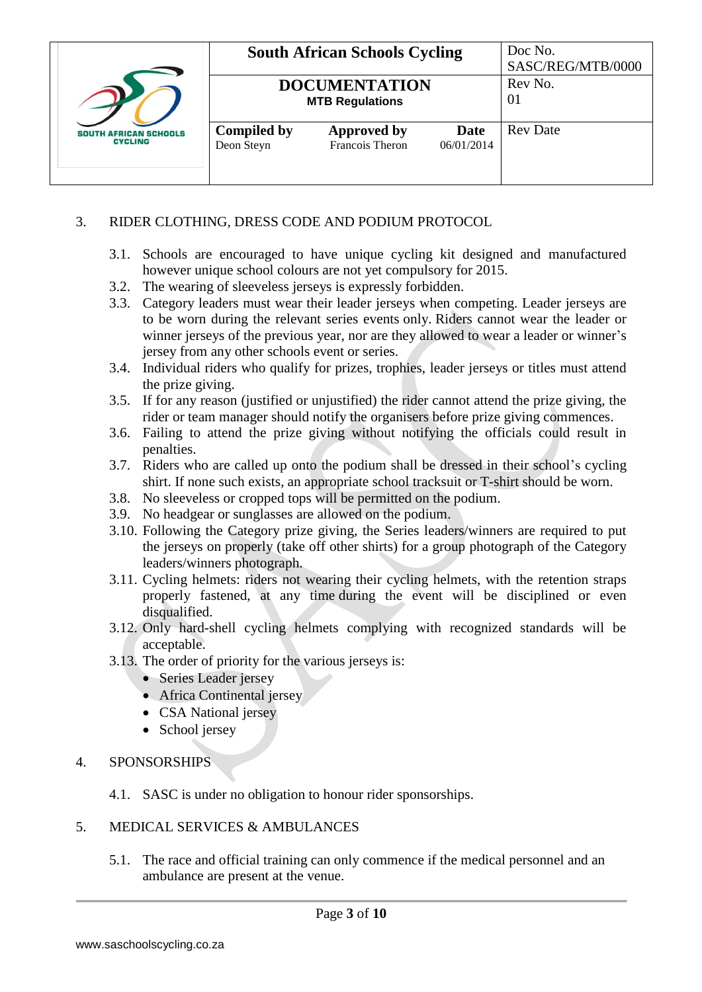|                                                |                                  | <b>South African Schools Cycling</b>                            |                    | Doc No.<br>SASC/REG/MTB/0000 |
|------------------------------------------------|----------------------------------|-----------------------------------------------------------------|--------------------|------------------------------|
|                                                |                                  | Rev No.<br><b>DOCUMENTATION</b><br>01<br><b>MTB Regulations</b> |                    |                              |
| <b>SOUTH AFRICAN SCHOOLS</b><br><b>CYCLING</b> | <b>Compiled by</b><br>Deon Steyn | <b>Approved by</b><br>Francois Theron                           | Date<br>06/01/2014 | <b>Rev</b> Date              |

## 3. RIDER CLOTHING, DRESS CODE AND PODIUM PROTOCOL

- 3.1. Schools are encouraged to have unique cycling kit designed and manufactured however unique school colours are not yet compulsory for 2015.
- 3.2. The wearing of sleeveless jerseys is expressly forbidden.
- 3.3. Category leaders must wear their leader jerseys when competing. Leader jerseys are to be worn during the relevant series events only. Riders cannot wear the leader or winner jerseys of the previous year, nor are they allowed to wear a leader or winner's jersey from any other schools event or series.
- 3.4. Individual riders who qualify for prizes, trophies, leader jerseys or titles must attend the prize giving.
- 3.5. If for any reason (justified or unjustified) the rider cannot attend the prize giving, the rider or team manager should notify the organisers before prize giving commences.
- 3.6. Failing to attend the prize giving without notifying the officials could result in penalties.
- 3.7. Riders who are called up onto the podium shall be dressed in their school's cycling shirt. If none such exists, an appropriate school tracksuit or T-shirt should be worn.
- 3.8. No sleeveless or cropped tops will be permitted on the podium.
- 3.9. No headgear or sunglasses are allowed on the podium.
- 3.10. Following the Category prize giving, the Series leaders/winners are required to put the jerseys on properly (take off other shirts) for a group photograph of the Category leaders/winners photograph.
- 3.11. Cycling helmets: riders not wearing their cycling helmets, with the retention straps properly fastened, at any time during the event will be disciplined or even disqualified.
- 3.12. Only hard-shell cycling helmets complying with recognized standards will be acceptable.
- 3.13. The order of priority for the various jerseys is:
	- Series Leader jersey
	- Africa Continental jersey
	- CSA National jersey
	- School jersey

### 4. SPONSORSHIPS

- 4.1. SASC is under no obligation to honour rider sponsorships.
- 5. MEDICAL SERVICES & AMBULANCES
	- 5.1. The race and official training can only commence if the medical personnel and an ambulance are present at the venue.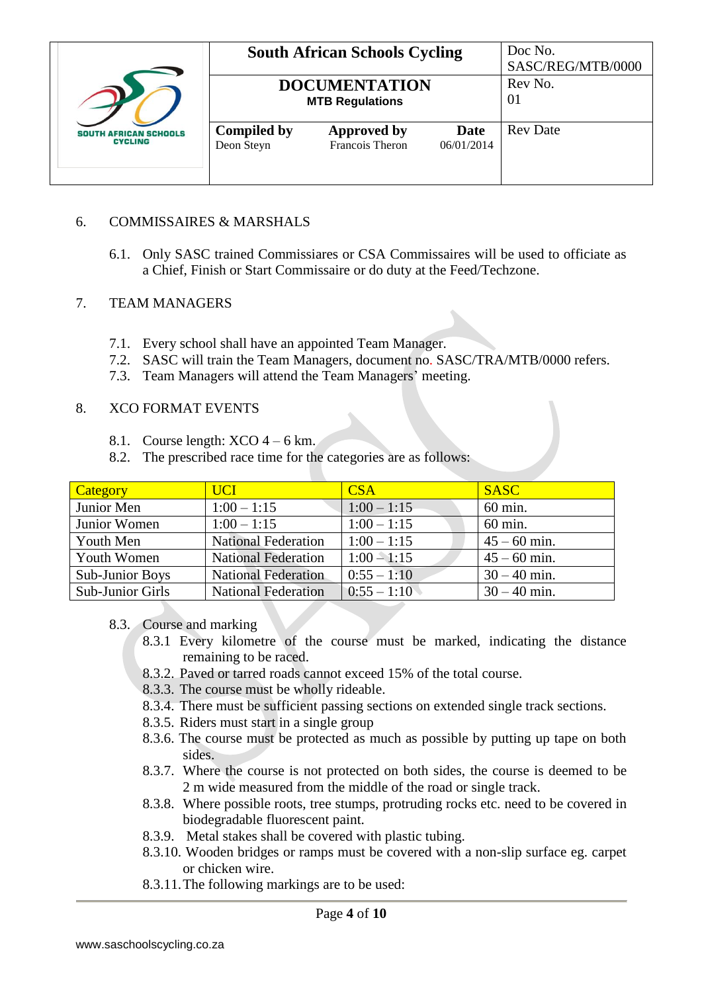|                                                |                                  | <b>South African Schools Cycling</b>           |                    | Doc No.<br>SASC/REG/MTB/0000 |
|------------------------------------------------|----------------------------------|------------------------------------------------|--------------------|------------------------------|
|                                                |                                  | <b>DOCUMENTATION</b><br><b>MTB Regulations</b> |                    | Rev No.<br>01                |
| <b>SOUTH AFRICAN SCHOOLS</b><br><b>CYCLING</b> | <b>Compiled by</b><br>Deon Steyn | <b>Approved by</b><br>Francois Theron          | Date<br>06/01/2014 | <b>Rev</b> Date              |

### 6. COMMISSAIRES & MARSHALS

6.1. Only SASC trained Commissiares or CSA Commissaires will be used to officiate as a Chief, Finish or Start Commissaire or do duty at the Feed/Techzone.

## 7. TEAM MANAGERS

- 7.1. Every school shall have an appointed Team Manager.
- 7.2. SASC will train the Team Managers, document no. SASC/TRA/MTB/0000 refers.
- 7.3. Team Managers will attend the Team Managers' meeting.

#### 8. XCO FORMAT EVENTS

- 8.1. Course length:  $XCO$  4 6 km.
- 8.2. The prescribed race time for the categories are as follows:

| Category               | <b>UCI</b>                 | CSA           | <b>SASC</b>    |
|------------------------|----------------------------|---------------|----------------|
| Junior Men             | $1:00 - 1:15$              | $1:00 - 1:15$ | 60 min.        |
| Junior Women           | $1:00 - 1:15$              | $1:00 - 1:15$ | 60 min.        |
| Youth Men              | <b>National Federation</b> | $1:00 - 1:15$ | $45 - 60$ min. |
| Youth Women            | <b>National Federation</b> | $1:00 - 1:15$ | $45 - 60$ min. |
| <b>Sub-Junior Boys</b> | <b>National Federation</b> | $0:55 - 1:10$ | $30 - 40$ min. |
| Sub-Junior Girls       | <b>National Federation</b> | $0:55 - 1:10$ | $30 - 40$ min. |

### 8.3. Course and marking

- 8.3.1 Every kilometre of the course must be marked, indicating the distance remaining to be raced.
- 8.3.2. Paved or tarred roads cannot exceed 15% of the total course.
- 8.3.3. The course must be wholly rideable.
- 8.3.4. There must be sufficient passing sections on extended single track sections.
- 8.3.5. Riders must start in a single group
- 8.3.6. The course must be protected as much as possible by putting up tape on both sides.
- 8.3.7. Where the course is not protected on both sides, the course is deemed to be 2 m wide measured from the middle of the road or single track.
- 8.3.8. Where possible roots, tree stumps, protruding rocks etc. need to be covered in biodegradable fluorescent paint.
- 8.3.9. Metal stakes shall be covered with plastic tubing.
- 8.3.10. Wooden bridges or ramps must be covered with a non-slip surface eg. carpet or chicken wire.
- 8.3.11.The following markings are to be used: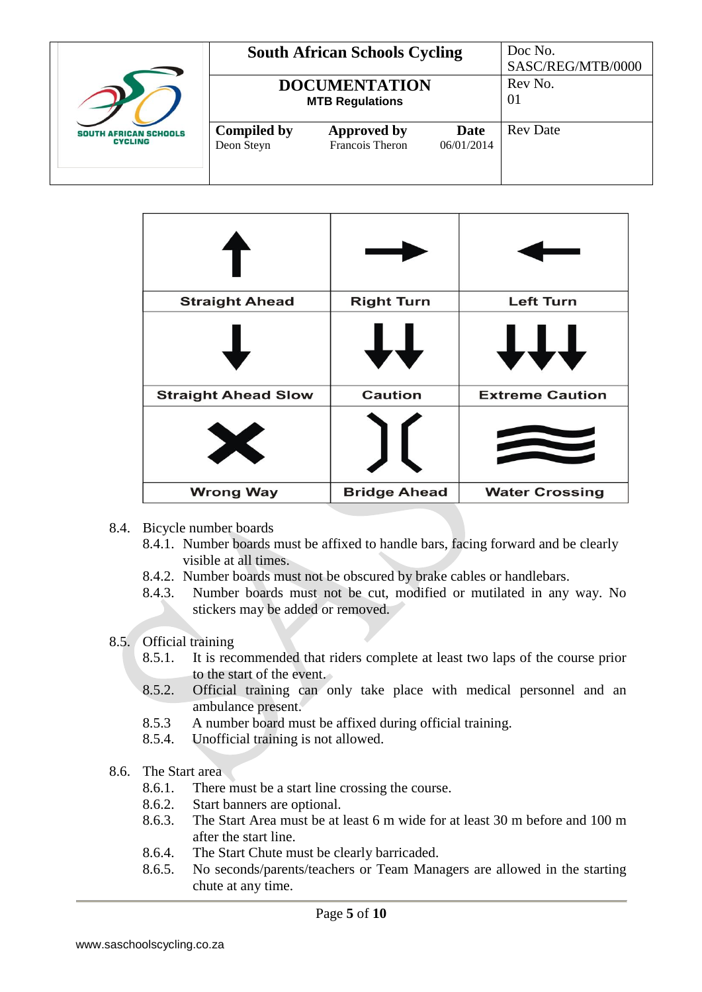|                                                |                                  | <b>South African Schools Cycling</b>           |                    | Doc No.<br>SASC/REG/MTB/0000 |
|------------------------------------------------|----------------------------------|------------------------------------------------|--------------------|------------------------------|
|                                                |                                  | <b>DOCUMENTATION</b><br><b>MTB Regulations</b> |                    | Rev No.<br>01                |
| <b>SOUTH AFRICAN SCHOOLS</b><br><b>CYCLING</b> | <b>Compiled by</b><br>Deon Steyn | Approved by<br>Francois Theron                 | Date<br>06/01/2014 | <b>Rev</b> Date              |

| <b>Straight Ahead</b>      | <b>Right Turn</b>   | <b>Left Turn</b>       |
|----------------------------|---------------------|------------------------|
|                            | ┹┥                  | <b>TTT</b>             |
| <b>Straight Ahead Slow</b> | <b>Caution</b>      | <b>Extreme Caution</b> |
| X                          |                     |                        |
| <b>Wrong Way</b>           | <b>Bridge Ahead</b> | <b>Water Crossing</b>  |

- 8.4. Bicycle number boards
	- 8.4.1. Number boards must be affixed to handle bars, facing forward and be clearly visible at all times.
	- 8.4.2. Number boards must not be obscured by brake cables or handlebars.
	- 8.4.3. Number boards must not be cut, modified or mutilated in any way. No stickers may be added or removed.
- 8.5. Official training
	- 8.5.1. It is recommended that riders complete at least two laps of the course prior to the start of the event.
	- 8.5.2. Official training can only take place with medical personnel and an ambulance present.
	- 8.5.3 A number board must be affixed during official training.
	- 8.5.4. Unofficial training is not allowed.
- 8.6. The Start area
	- 8.6.1. There must be a start line crossing the course.
	- 8.6.2. Start banners are optional.
	- 8.6.3. The Start Area must be at least 6 m wide for at least 30 m before and 100 m after the start line.
	- 8.6.4. The Start Chute must be clearly barricaded.
	- 8.6.5. No seconds/parents/teachers or Team Managers are allowed in the starting chute at any time.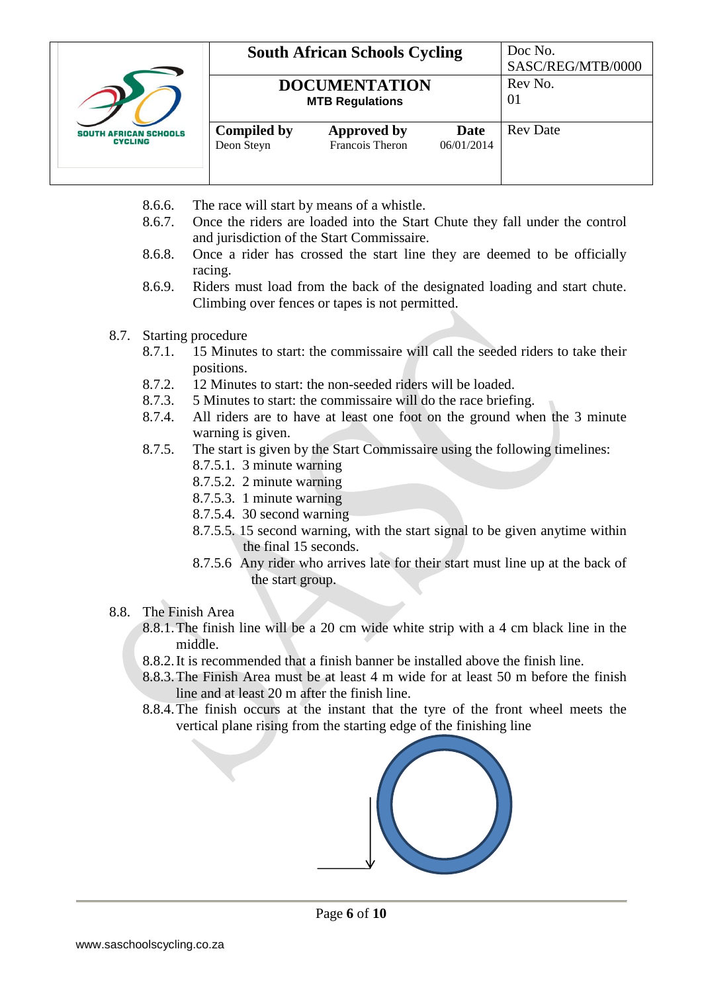|                                          |                                  | <b>South African Schools Cycling</b>           |                    | Doc No.<br>SASC/REG/MTB/0000 |
|------------------------------------------|----------------------------------|------------------------------------------------|--------------------|------------------------------|
|                                          |                                  | <b>DOCUMENTATION</b><br><b>MTB Regulations</b> |                    | Rev No.<br>01                |
| <b>AFRICAN SCHOOLS</b><br><b>CYCLING</b> | <b>Compiled by</b><br>Deon Steyn | Approved by<br>Francois Theron                 | Date<br>06/01/2014 | <b>Rev</b> Date              |

- 8.6.6. The race will start by means of a whistle.
- 8.6.7. Once the riders are loaded into the Start Chute they fall under the control and jurisdiction of the Start Commissaire.
- 8.6.8. Once a rider has crossed the start line they are deemed to be officially racing.
- 8.6.9. Riders must load from the back of the designated loading and start chute. Climbing over fences or tapes is not permitted.
- 8.7. Starting procedure
	- 8.7.1. 15 Minutes to start: the commissaire will call the seeded riders to take their positions.
	- 8.7.2. 12 Minutes to start: the non-seeded riders will be loaded.
	- 8.7.3. 5 Minutes to start: the commissaire will do the race briefing.
	- 8.7.4. All riders are to have at least one foot on the ground when the 3 minute warning is given.
	- 8.7.5. The start is given by the Start Commissaire using the following timelines:
		- 8.7.5.1. 3 minute warning
		- 8.7.5.2. 2 minute warning
		- 8.7.5.3. 1 minute warning
		- 8.7.5.4. 30 second warning
		- 8.7.5.5. 15 second warning, with the start signal to be given anytime within the final 15 seconds.
		- 8.7.5.6 Any rider who arrives late for their start must line up at the back of the start group.
- 8.8. The Finish Area
	- 8.8.1.The finish line will be a 20 cm wide white strip with a 4 cm black line in the middle.
	- 8.8.2.It is recommended that a finish banner be installed above the finish line.
	- 8.8.3.The Finish Area must be at least 4 m wide for at least 50 m before the finish line and at least 20 m after the finish line.
	- 8.8.4.The finish occurs at the instant that the tyre of the front wheel meets the vertical plane rising from the starting edge of the finishing line

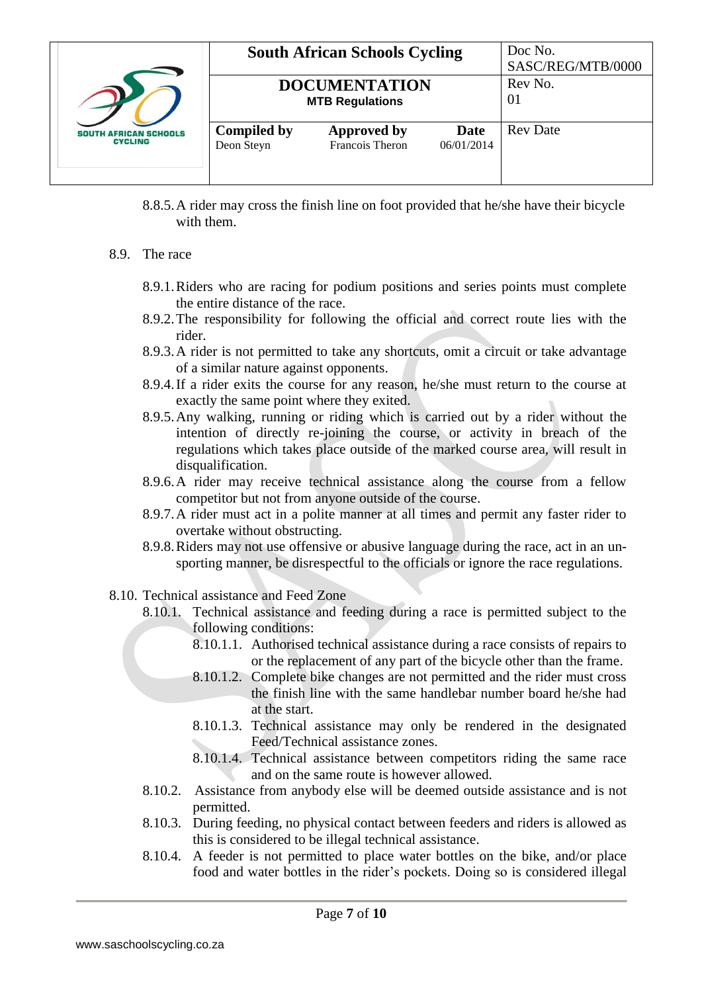|                                                |                                  | <b>South African Schools Cycling</b>           |                    | Doc No.<br>SASC/REG/MTB/0000 |
|------------------------------------------------|----------------------------------|------------------------------------------------|--------------------|------------------------------|
|                                                |                                  | <b>DOCUMENTATION</b><br><b>MTB Regulations</b> |                    | Rev No.<br>01                |
| <b>SOUTH AFRICAN SCHOOLS</b><br><b>CYCLING</b> | <b>Compiled by</b><br>Deon Steyn | <b>Approved by</b><br>Francois Theron          | Date<br>06/01/2014 | <b>Rev</b> Date              |

- 8.8.5.A rider may cross the finish line on foot provided that he/she have their bicycle with them.
- 8.9. The race
	- 8.9.1.Riders who are racing for podium positions and series points must complete the entire distance of the race.
	- 8.9.2.The responsibility for following the official and correct route lies with the rider.
	- 8.9.3.A rider is not permitted to take any shortcuts, omit a circuit or take advantage of a similar nature against opponents.
	- 8.9.4.If a rider exits the course for any reason, he/she must return to the course at exactly the same point where they exited.
	- 8.9.5.Any walking, running or riding which is carried out by a rider without the intention of directly re-joining the course, or activity in breach of the regulations which takes place outside of the marked course area, will result in disqualification.
	- 8.9.6.A rider may receive technical assistance along the course from a fellow competitor but not from anyone outside of the course.
	- 8.9.7.A rider must act in a polite manner at all times and permit any faster rider to overtake without obstructing.
	- 8.9.8.Riders may not use offensive or abusive language during the race, act in an unsporting manner, be disrespectful to the officials or ignore the race regulations.
- 8.10. Technical assistance and Feed Zone
	- 8.10.1. Technical assistance and feeding during a race is permitted subject to the following conditions:
		- 8.10.1.1. Authorised technical assistance during a race consists of repairs to or the replacement of any part of the bicycle other than the frame.
		- 8.10.1.2. Complete bike changes are not permitted and the rider must cross the finish line with the same handlebar number board he/she had at the start.
		- 8.10.1.3. Technical assistance may only be rendered in the designated Feed/Technical assistance zones.
		- 8.10.1.4. Technical assistance between competitors riding the same race and on the same route is however allowed.
	- 8.10.2. Assistance from anybody else will be deemed outside assistance and is not permitted.
	- 8.10.3. During feeding, no physical contact between feeders and riders is allowed as this is considered to be illegal technical assistance.
	- 8.10.4. A feeder is not permitted to place water bottles on the bike, and/or place food and water bottles in the rider's pockets. Doing so is considered illegal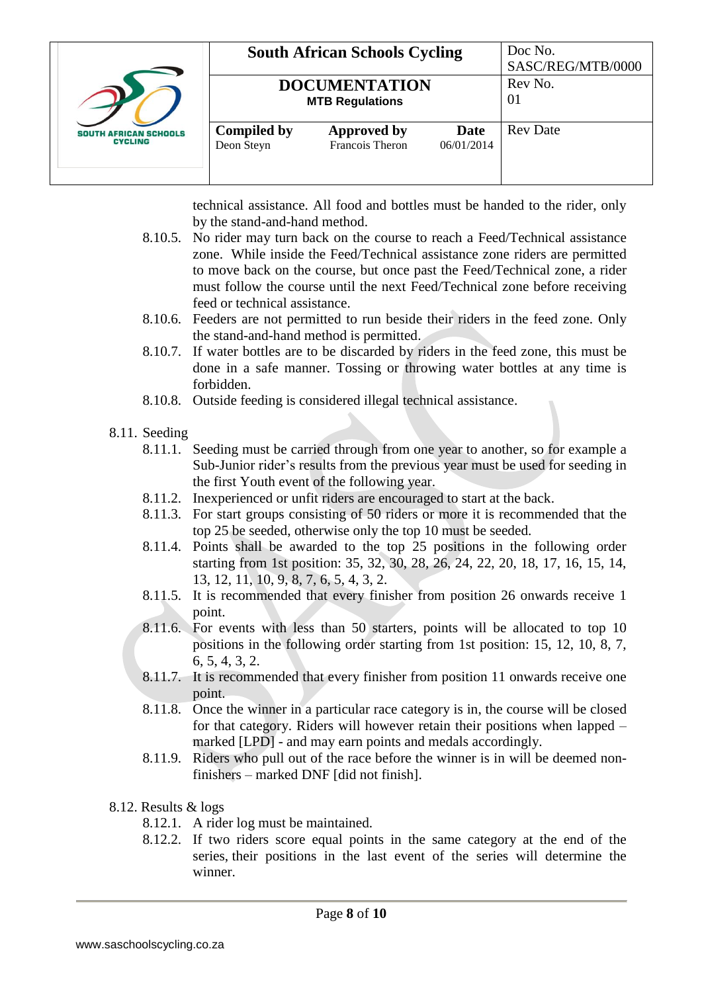

|                                                | <b>South African Schools Cycling</b> |                    | Doc No.<br>SASC/REG/MTB/0000 |
|------------------------------------------------|--------------------------------------|--------------------|------------------------------|
| <b>DOCUMENTATION</b><br><b>MTB Regulations</b> |                                      |                    | Rev No.<br>01                |
| <b>Compiled by</b><br>Deon Steyn               | Approved by<br>Francois Theron       | Date<br>06/01/2014 | <b>Rev</b> Date              |

technical assistance. All food and bottles must be handed to the rider, only by the stand-and-hand method.

- 8.10.5. No rider may turn back on the course to reach a Feed/Technical assistance zone. While inside the Feed/Technical assistance zone riders are permitted to move back on the course, but once past the Feed/Technical zone, a rider must follow the course until the next Feed/Technical zone before receiving feed or technical assistance.
- 8.10.6. Feeders are not permitted to run beside their riders in the feed zone. Only the stand-and-hand method is permitted.
- 8.10.7. If water bottles are to be discarded by riders in the feed zone, this must be done in a safe manner. Tossing or throwing water bottles at any time is forbidden.
- 8.10.8. Outside feeding is considered illegal technical assistance.
- 8.11. Seeding
	- 8.11.1. Seeding must be carried through from one year to another, so for example a Sub-Junior rider's results from the previous year must be used for seeding in the first Youth event of the following year.
	- 8.11.2. Inexperienced or unfit riders are encouraged to start at the back.
	- 8.11.3. For start groups consisting of 50 riders or more it is recommended that the top 25 be seeded, otherwise only the top 10 must be seeded.
	- 8.11.4. Points shall be awarded to the top 25 positions in the following order starting from 1st position: 35, 32, 30, 28, 26, 24, 22, 20, 18, 17, 16, 15, 14, 13, 12, 11, 10, 9, 8, 7, 6, 5, 4, 3, 2.
	- 8.11.5. It is recommended that every finisher from position 26 onwards receive 1 point.
	- 8.11.6. For events with less than 50 starters, points will be allocated to top 10 positions in the following order starting from 1st position: 15, 12, 10, 8, 7, 6, 5, 4, 3, 2.
	- 8.11.7. It is recommended that every finisher from position 11 onwards receive one point.
	- 8.11.8. Once the winner in a particular race category is in, the course will be closed for that category. Riders will however retain their positions when lapped – marked [LPD] - and may earn points and medals accordingly.
	- 8.11.9. Riders who pull out of the race before the winner is in will be deemed nonfinishers – marked DNF [did not finish].
- 8.12. Results & logs
	- 8.12.1. A rider log must be maintained.
	- 8.12.2. If two riders score equal points in the same category at the end of the series, their positions in the last event of the series will determine the winner.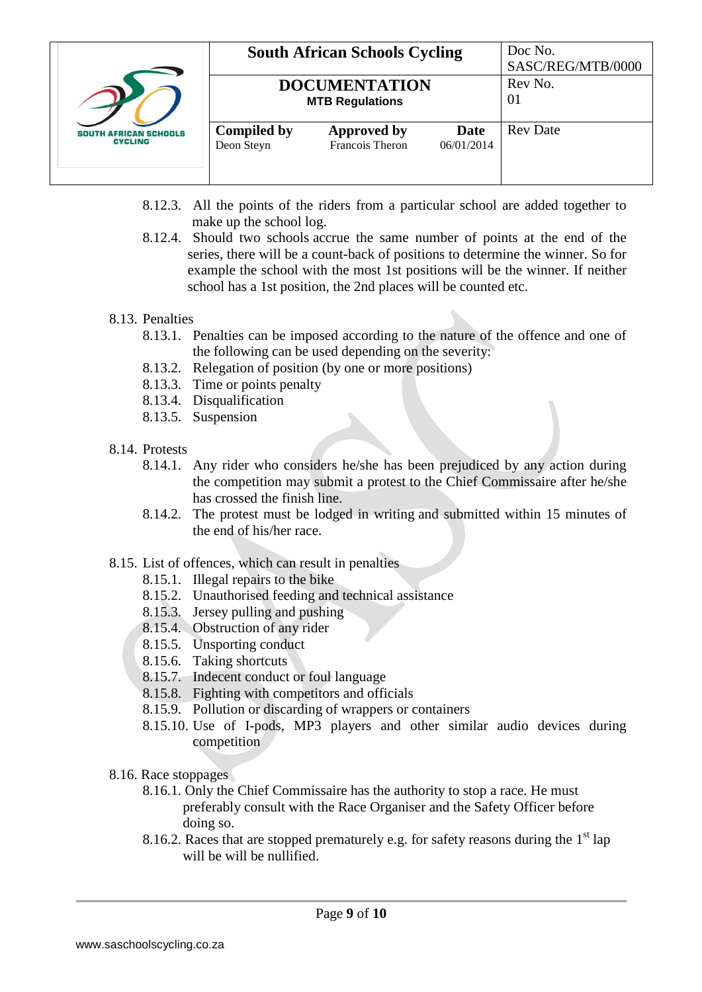|                                                |                                  | <b>South African Schools Cycling</b>           |                    | Doc No.<br>SASC/REG/MTB/0000 |
|------------------------------------------------|----------------------------------|------------------------------------------------|--------------------|------------------------------|
|                                                |                                  | <b>DOCUMENTATION</b><br><b>MTB Regulations</b> |                    | Rev No.<br>01                |
| <b>SOUTH AFRICAN SCHOOLS</b><br><b>CYCLING</b> | <b>Compiled by</b><br>Deon Steyn | Approved by<br>Francois Theron                 | Date<br>06/01/2014 | <b>Rev</b> Date              |

- 8.12.3. All the points of the riders from a particular school are added together to make up the school log.
- 8.12.4. Should two schools accrue the same number of points at the end of the series, there will be a count-back of positions to determine the winner. So for example the school with the most 1st positions will be the winner. If neither school has a 1st position, the 2nd places will be counted etc.

### 8.13. Penalties

- 8.13.1. Penalties can be imposed according to the nature of the offence and one of the following can be used depending on the severity:
- 8.13.2. Relegation of position (by one or more positions)
- 8.13.3. Time or points penalty
- 8.13.4. Disqualification
- 8.13.5. Suspension
- 8.14. Protests
	- 8.14.1. Any rider who considers he/she has been prejudiced by any action during the competition may submit a protest to the Chief Commissaire after he/she has crossed the finish line.
	- 8.14.2. The protest must be lodged in writing and submitted within 15 minutes of the end of his/her race.

### 8.15. List of offences, which can result in penalties

- 8.15.1. Illegal repairs to the bike
- 8.15.2. Unauthorised feeding and technical assistance
- 8.15.3. Jersey pulling and pushing
- 8.15.4. Obstruction of any rider
- 8.15.5. Unsporting conduct
- 8.15.6. Taking shortcuts
- 8.15.7. Indecent conduct or foul language
- 8.15.8. Fighting with competitors and officials
- 8.15.9. Pollution or discarding of wrappers or containers
- 8.15.10. Use of I-pods, MP3 players and other similar audio devices during competition
- 8.16. Race stoppages
	- 8.16.1. Only the Chief Commissaire has the authority to stop a race. He must preferably consult with the Race Organiser and the Safety Officer before doing so.
	- 8.16.2. Races that are stopped prematurely e.g. for safety reasons during the  $1<sup>st</sup>$  lap will be will be nullified.